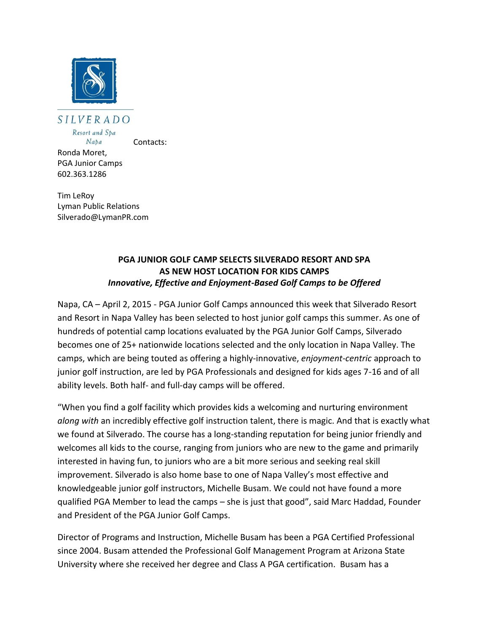

SILVERADO Resort and Spa

 $Naba$ 

Contacts:

Ronda Moret, PGA Junior Camps 602.363.1286

Tim LeRoy Lyman Public Relations Silverado@LymanPR.com

## **PGA JUNIOR GOLF CAMP SELECTS SILVERADO RESORT AND SPA AS NEW HOST LOCATION FOR KIDS CAMPS** *Innovative, Effective and Enjoyment-Based Golf Camps to be Offered*

Napa, CA – April 2, 2015 - PGA Junior Golf Camps announced this week that Silverado Resort and Resort in Napa Valley has been selected to host junior golf camps this summer. As one of hundreds of potential camp locations evaluated by the PGA Junior Golf Camps, Silverado becomes one of 25+ nationwide locations selected and the only location in Napa Valley. The camps, which are being touted as offering a highly-innovative, *enjoyment-centric* approach to junior golf instruction, are led by PGA Professionals and designed for kids ages 7-16 and of all ability levels. Both half- and full-day camps will be offered.

"When you find a golf facility which provides kids a welcoming and nurturing environment *along with* an incredibly effective golf instruction talent, there is magic. And that is exactly what we found at Silverado. The course has a long-standing reputation for being junior friendly and welcomes all kids to the course, ranging from juniors who are new to the game and primarily interested in having fun, to juniors who are a bit more serious and seeking real skill improvement. Silverado is also home base to one of Napa Valley's most effective and knowledgeable junior golf instructors, Michelle Busam. We could not have found a more qualified PGA Member to lead the camps – she is just that good", said Marc Haddad, Founder and President of the PGA Junior Golf Camps.

Director of Programs and Instruction, Michelle Busam has been a PGA Certified Professional since 2004. Busam attended the Professional Golf Management Program at Arizona State University where she received her degree and Class A PGA certification. Busam has a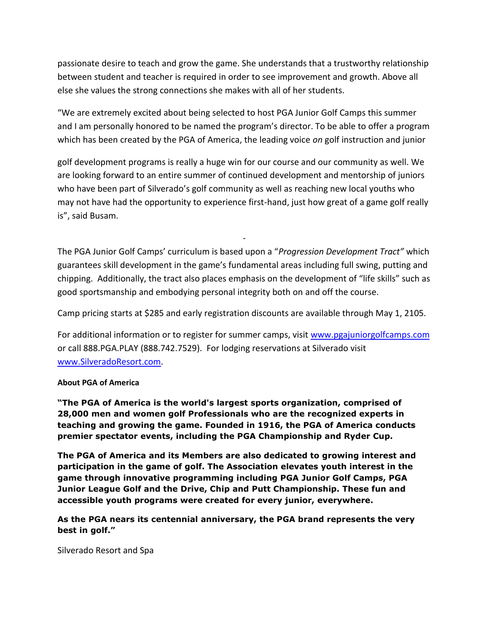passionate desire to teach and grow the game. She understands that a trustworthy relationship between student and teacher is required in order to see improvement and growth. Above all else she values the strong connections she makes with all of her students.

"We are extremely excited about being selected to host PGA Junior Golf Camps this summer and I am personally honored to be named the program's director. To be able to offer a program which has been created by the PGA of America, the leading voice *on* golf instruction and junior

golf development programs is really a huge win for our course and our community as well. We are looking forward to an entire summer of continued development and mentorship of juniors who have been part of Silverado's golf community as well as reaching new local youths who may not have had the opportunity to experience first-hand, just how great of a game golf really is", said Busam.

The PGA Junior Golf Camps' curriculum is based upon a "*Progression Development Tract"* which guarantees skill development in the game's fundamental areas including full swing, putting and chipping. Additionally, the tract also places emphasis on the development of "life skills" such as good sportsmanship and embodying personal integrity both on and off the course.

-

Camp pricing starts at \$285 and early registration discounts are available through May 1, 2105.

For additional information or to register for summer camps, visit [www.pgajuniorgolfcamps.com](http://www.pgajuniorgolfcamps.com/) or call 888.PGA.PLAY (888.742.7529). For lodging reservations at Silverado visit [www.SilveradoResort.com.](http://www.silveradoresort.com/)

## **About PGA of America**

**"The PGA of America is the world's largest sports organization, comprised of 28,000 men and women golf Professionals who are the recognized experts in teaching and growing the game. Founded in 1916, the PGA of America conducts premier spectator events, including the PGA Championship and Ryder Cup.** 

**The PGA of America and its Members are also dedicated to growing interest and participation in the game of golf. The Association elevates youth interest in the game through innovative programming including PGA Junior Golf Camps, PGA Junior League Golf and the Drive, Chip and Putt Championship. These fun and accessible youth programs were created for every junior, everywhere.**

**As the PGA nears its centennial anniversary, the PGA brand represents the very best in golf."**

Silverado Resort and Spa